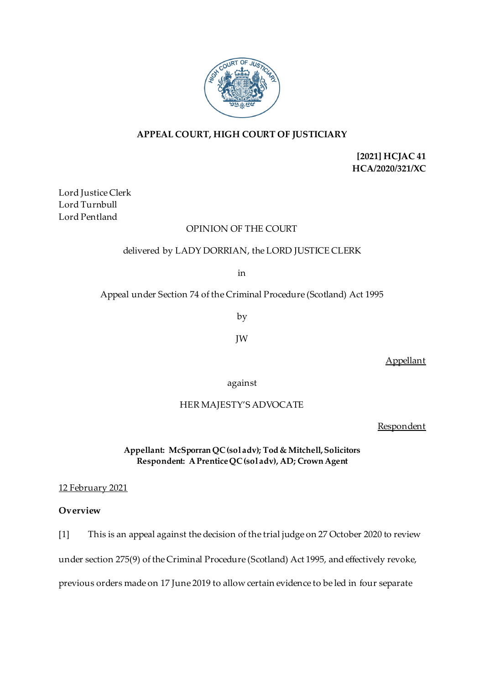

# **APPEAL COURT, HIGH COURT OF JUSTICIARY**

**[2021] HCJAC 41 HCA/2020/321/XC**

Lord Justice Clerk Lord Turnbull Lord Pentland

### OPINION OF THE COURT

# delivered by LADY DORRIAN, the LORD JUSTICE CLERK

in

Appeal under Section 74 of the Criminal Procedure (Scotland) Act 1995

by

JW

Appellant

against

# HER MAJESTY'S ADVOCATE

Respondent

**Appellant: McSporran QC (sol adv); Tod & Mitchell, Solicitors Respondent: A Prentice QC(sol adv), AD; Crown Agent**

12 February 2021

### **Overview**

[1] This is an appeal against the decision of the trial judge on 27 October 2020 to review under section 275(9) of the Criminal Procedure (Scotland) Act 1995, and effectively revoke, previous orders made on 17 June 2019 to allow certain evidence to be led in four separate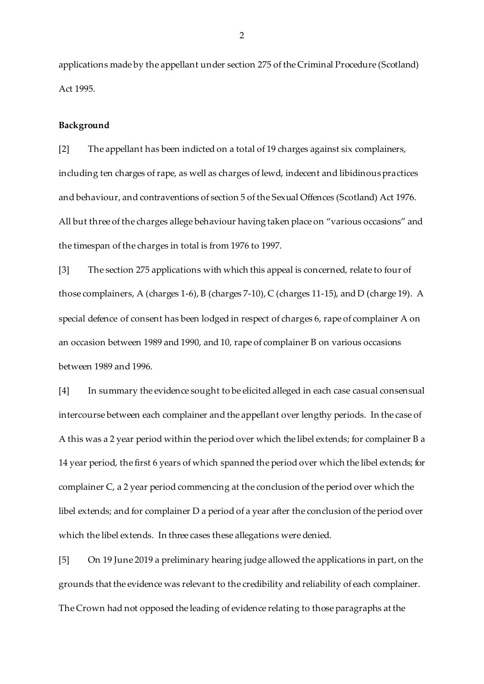applications made by the appellant under section 275 of the Criminal Procedure (Scotland) Act 1995.

#### **Background**

[2] The appellant has been indicted on a total of 19 charges against six complainers, including ten charges of rape, as well as charges of lewd, indecent and libidinous practices and behaviour, and contraventions of section 5 of the Sexual Offences (Scotland) Act 1976. All but three of the charges allege behaviour having taken place on "various occasions" and the timespan of the charges in total is from 1976 to 1997.

[3] The section 275 applications with which this appeal is concerned, relate to four of those complainers, A (charges 1-6), B (charges 7-10), C (charges 11-15), and D (charge 19). A special defence of consent has been lodged in respect of charges 6, rape of complainer A on an occasion between 1989 and 1990, and 10, rape of complainer B on various occasions between 1989 and 1996.

[4] In summary the evidence sought to be elicited alleged in each case casual consensual intercourse between each complainer and the appellant over lengthy periods. In the case of A this was a 2 year period within the period over which the libel extends; for complainer B a 14 year period, the first 6 years of which spanned the period over which the libel extends; for complainer C, a 2 year period commencing at the conclusion of the period over which the libel extends; and for complainer D a period of a year after the conclusion of the period over which the libel extends. In three cases these allegations were denied.

[5] On 19 June 2019 a preliminary hearing judge allowed the applications in part, on the grounds that the evidence was relevant to the credibility and reliability of each complainer. The Crown had not opposed the leading of evidence relating to those paragraphs at the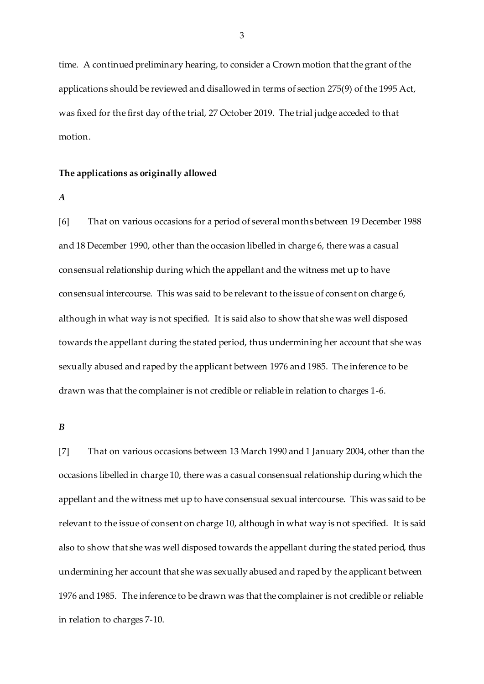time. A continued preliminary hearing, to consider a Crown motion that the grant of the applications should be reviewed and disallowed in terms of section 275(9) of the 1995 Act, was fixed for the first day of the trial, 27 October 2019. The trial judge acceded to that motion.

#### **The applications as originally allowed**

*A*

[6] That on various occasions for a period of several months between 19 December 1988 and 18 December 1990, other than the occasion libelled in charge 6, there was a casual consensual relationship during which the appellant and the witness met up to have consensual intercourse. This was said to be relevant to the issue of consent on charge 6, although in what way is not specified. It is said also to show that she was well disposed towards the appellant during the stated period, thus undermining her account that she was sexually abused and raped by the applicant between 1976 and 1985. The inference to be drawn was that the complainer is not credible or reliable in relation to charges 1-6.

#### *B*

[7] That on various occasions between 13 March 1990 and 1 January 2004, other than the occasions libelled in charge 10, there was a casual consensual relationship during which the appellant and the witness met up to have consensual sexual intercourse. This was said to be relevant to the issue of consent on charge 10, although in what way is not specified. It is said also to show that she was well disposed towards the appellant during the stated period, thus undermining her account that she was sexually abused and raped by the applicant between 1976 and 1985. The inference to be drawn was that the complainer is not credible or reliable in relation to charges 7-10.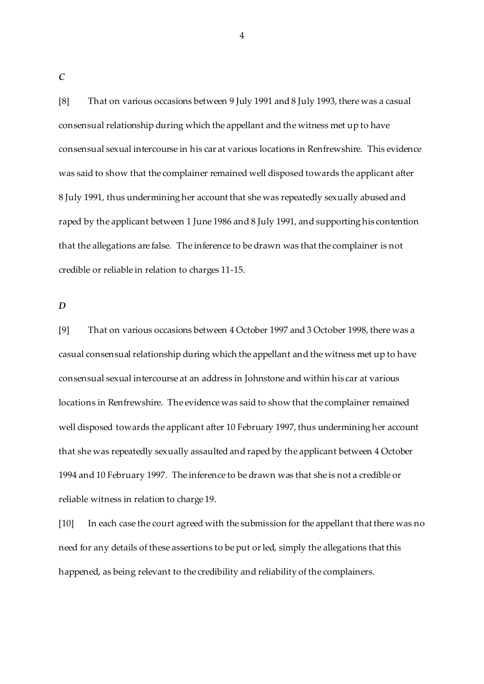[8] That on various occasions between 9 July 1991 and 8 July 1993, there was a casual consensual relationship during which the appellant and the witness met up to have consensual sexual intercourse in his car at various locations in Renfrewshire. This evidence was said to show that the complainer remained well disposed towards the applicant after 8 July 1991, thus undermining her account that she was repeatedly sexually abused and raped by the applicant between 1 June 1986 and 8 July 1991, and supporting his contention that the allegations are false. The inference to be drawn was that the complainer is not credible or reliable in relation to charges 11-15.

4

*D*

[9] That on various occasions between 4 October 1997 and 3 October 1998, there was a casual consensual relationship during which the appellant and the witness met up to have consensual sexual intercourse at an address in Johnstone and within his car at various locations in Renfrewshire. The evidence was said to show that the complainer remained well disposed towards the applicant after 10 February 1997, thus undermining her account that she was repeatedly sexually assaulted and raped by the applicant between 4 October 1994 and 10 February 1997. The inference to be drawn was that she is not a credible or reliable witness in relation to charge 19.

[10] In each case the court agreed with the submission for the appellant that there was no need for any details of these assertions to be put or led, simply the allegations that this happened, as being relevant to the credibility and reliability of the complainers.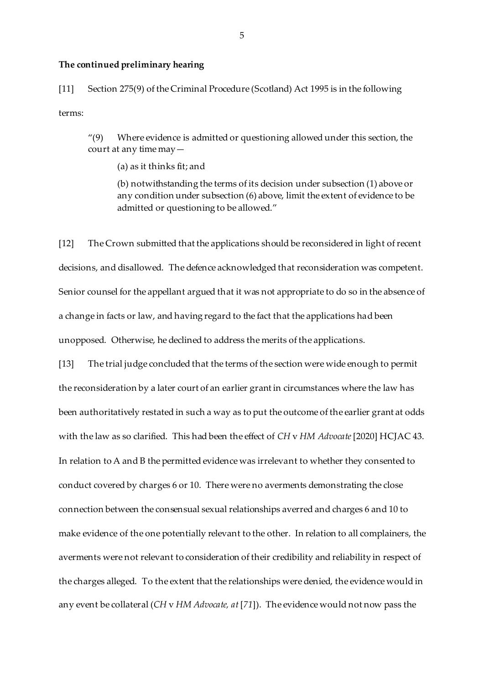#### **The continued preliminary hearing**

[11] Section 275(9) of the Criminal Procedure (Scotland) Act 1995 is in the following terms:

 $''(9)$  Where evidence is admitted or questioning allowed under this section, the court at any time may—

(a) as it thinks fit; and

(b) notwithstanding the terms of its decision under subsection (1) above or any condition under subsection (6) above, limit the extent of evidence to be admitted or questioning to be allowed."

[12] The Crown submitted that the applications should be reconsidered in light of recent decisions, and disallowed. The defence acknowledged that reconsideration was competent. Senior counsel for the appellant argued that it was not appropriate to do so in the absence of a change in facts or law, and having regard to the fact that the applications had been unopposed. Otherwise, he declined to address the merits of the applications.

[13] The trial judge concluded that the terms of the section were wide enough to permit the reconsideration by a later court of an earlier grant in circumstances where the law has been authoritatively restated in such a way as to put the outcome of the earlier grant at odds with the law as so clarified. This had been the effect of *CH* v *HM Advocate*[2020] HCJAC 43. In relation to A and B the permitted evidence was irrelevant to whether they consented to conduct covered by charges 6 or 10. There were no averments demonstrating the close connection between the consensual sexual relationships averred and charges 6 and 10 to make evidence of the one potentially relevant to the other. In relation to all complainers, the averments were not relevant to consideration of their credibility and reliability in respect of the charges alleged. To the extent that the relationships were denied, the evidence would in any event be collateral (*CH* v *HM Advocate, at* [*71*]). The evidence would not now pass the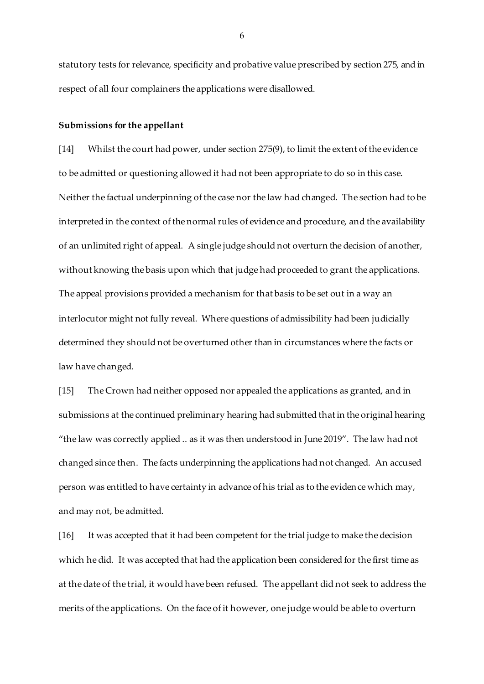statutory tests for relevance, specificity and probative value prescribed by section 275, and in respect of all four complainers the applications were disallowed.

#### **Submissions for the appellant**

[14] Whilst the court had power, under section 275(9), to limit the extent of the evidence to be admitted or questioning allowed it had not been appropriate to do so in this case. Neither the factual underpinning of the case nor the law had changed. The section had to be interpreted in the context of the normal rules of evidence and procedure, and the availability of an unlimited right of appeal. A single judge should not overturn the decision of another, without knowing the basis upon which that judge had proceeded to grant the applications. The appeal provisions provided a mechanism for that basis to be set out in a way an interlocutor might not fully reveal. Where questions of admissibility had been judicially determined they should not be overturned other than in circumstances where the facts or law have changed.

[15] The Crown had neither opposed nor appealed the applications as granted, and in submissions at the continued preliminary hearing had submitted that in the original hearing "the law was correctly applied .. as it was then understood in June 2019". The law had not changed since then. The facts underpinning the applications had not changed. An accused person was entitled to have certainty in advance of his trial as to the evidence which may, and may not, be admitted.

[16] It was accepted that it had been competent for the trial judge to make the decision which he did. It was accepted that had the application been considered for the first time as at the date of the trial, it would have been refused. The appellant did not seek to address the merits of the applications. On the face of it however, one judge would be able to overturn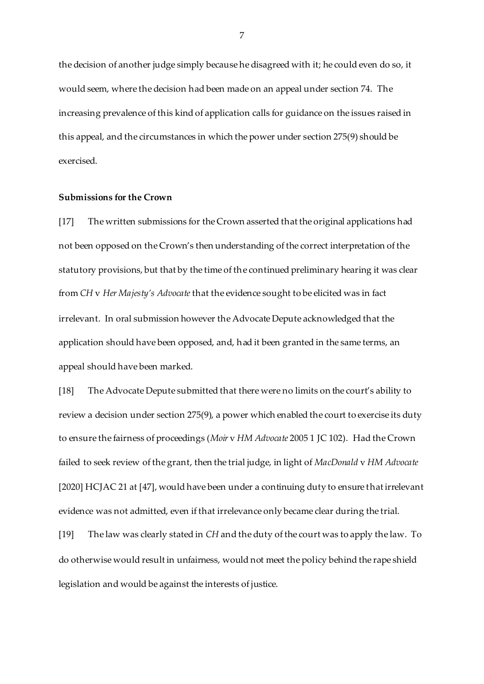the decision of another judge simply because he disagreed with it; he could even do so, it would seem, where the decision had been made on an appeal under section 74. The increasing prevalence of this kind of application calls for guidance on the issues raised in this appeal, and the circumstances in which the power under section 275(9) should be exercised.

### **Submissions for the Crown**

[17] The written submissions for the Crown asserted that the original applications had not been opposed on the Crown's then understanding of the correct interpretation of the statutory provisions, but that by the time of the continued preliminary hearing it was clear from *CH* v *Her Majesty's Advocate* that the evidence sought to be elicited was in fact irrelevant. In oral submission however the Advocate Depute acknowledged that the application should have been opposed, and, had it been granted in the same terms, an appeal should have been marked.

[18] The Advocate Depute submitted that there were no limits on the court's ability to review a decision under section 275(9), a power which enabled the court to exercise its duty to ensure the fairness of proceedings (*Moir* v *HM Advocate* 2005 1 JC 102). Had the Crown failed to seek review of the grant, then the trial judge, in light of *MacDonald* v *HM Advocate* [2020] HCJAC 21 at [47], would have been under a continuing duty to ensure that irrelevant evidence was not admitted, even if that irrelevance only became clear during the trial.

[19] The law was clearly stated in *CH* and the duty of the court was to apply the law. To do otherwise would result in unfairness, would not meet the policy behind the rape shield legislation and would be against the interests of justice.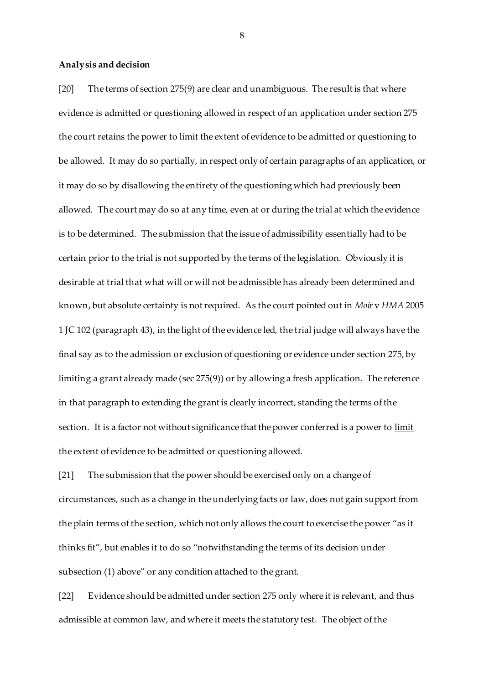#### **Analysis and decision**

[20] The terms of section 275(9) are clear and unambiguous. The result is that where evidence is admitted or questioning allowed in respect of an application under section 275 the court retains the power to limit the extent of evidence to be admitted or questioning to be allowed. It may do so partially, in respect only of certain paragraphs of an application, or it may do so by disallowing the entirety of the questioning which had previously been allowed. The court may do so at any time, even at or during the trial at which the evidence is to be determined. The submission that the issue of admissibility essentially had to be certain prior to the trial is not supported by the terms of the legislation. Obviously it is desirable at trial that what will or will not be admissible has already been determined and known, but absolute certainty is not required. As the court pointed out in *Moir* v *HMA* 2005 1 JC 102 (paragraph 43), in the light of the evidence led, the trial judge will always have the final say as to the admission or exclusion of questioning or evidence under section 275, by limiting a grant already made (sec 275(9)) or by allowing a fresh application. The reference in that paragraph to extending the grant is clearly incorrect, standing the terms of the section. It is a factor not without significance that the power conferred is a power to limit the extent of evidence to be admitted or questioning allowed.

[21] The submission that the power should be exercised only on a change of circumstances, such as a change in the underlying facts or law, does not gain support from the plain terms of the section, which not only allows the court to exercise the power "as it thinks fit", but enables it to do so "notwithstanding the terms of its decision under subsection (1) above" or any condition attached to the grant.

[22] Evidence should be admitted under section 275 only where it is relevant, and thus admissible at common law, and where it meets the statutory test. The object of the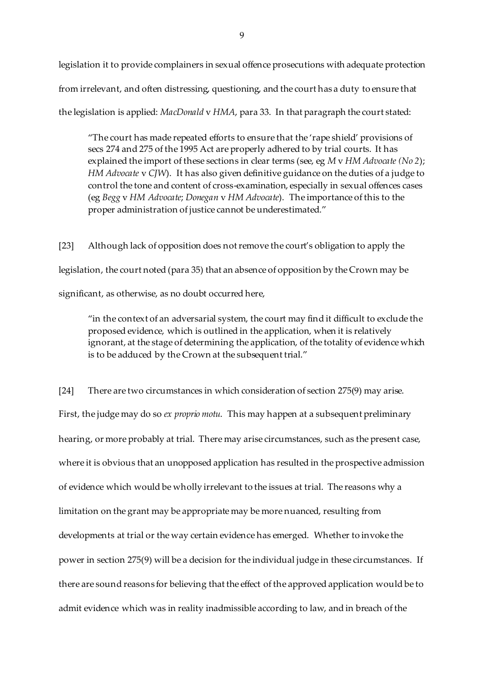legislation it to provide complainers in sexual offence prosecutions with adequate protection from irrelevant, and often distressing, questioning, and the court has a duty to ensure that the legislation is applied: *MacDonald* v *HMA*, para 33. In that paragraph the court stated:

"The court has made repeated efforts to ensure that the 'rape shield' provisions of secs 274 and 275 of the 1995 Act are properly adhered to by trial courts. It has explained the import of these sections in clear terms (see, eg *M* v *HM Advocate (No 2*); *HM Advocate* v *CJW*). It has also given definitive guidance on the duties of a judge to control the tone and content of cross-examination, especially in sexual offences cases (eg *Begg* v *HM Advocate*; *Donegan* v *HM Advocate*). The importance of this to the proper administration of justice cannot be underestimated."

[23] Although lack of opposition does not remove the court's obligation to apply the legislation, the court noted (para 35) that an absence of opposition by the Crown may be significant, as otherwise, as no doubt occurred here,

"in the context of an adversarial system, the court may find it difficult to exclude the proposed evidence, which is outlined in the application, when it is relatively ignorant, at the stage of determining the application, of the totality of evidence which is to be adduced by the Crown at the subsequent trial."

[24] There are two circumstances in which consideration of section 275(9) may arise. First, the judge may do so *ex proprio motu*. This may happen at a subsequent preliminary hearing, or more probably at trial. There may arise circumstances, such as the present case, where it is obvious that an unopposed application has resulted in the prospective admission of evidence which would be wholly irrelevant to the issues at trial. The reasons why a limitation on the grant may be appropriate may be more nuanced, resulting from developments at trial or the way certain evidence has emerged. Whether to invoke the power in section 275(9) will be a decision for the individual judge in these circumstances. If there are sound reasons for believing that the effect of the approved application would be to admit evidence which was in reality inadmissible according to law, and in breach of the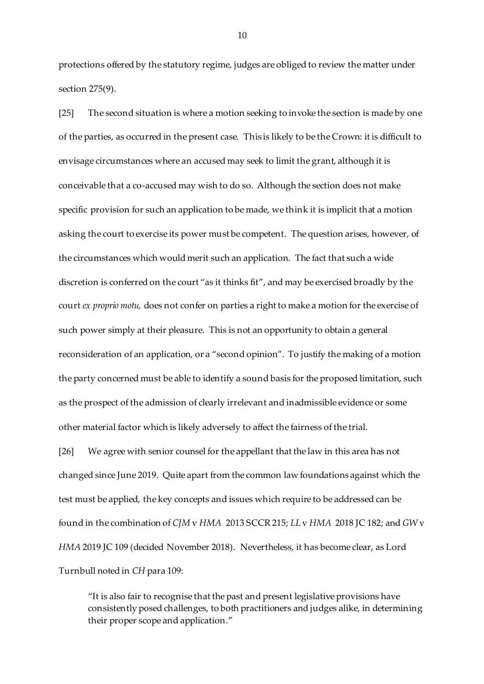protections offered by the statutory regime, judges are obliged to review the matter under section 275(9).

[25] The second situation is where a motion seeking to invoke the section is made by one of the parties, as occurred in the present case. This is likely to be the Crown: it is difficult to envisage circumstances where an accused may seek to limit the grant, although it is conceivable that a co-accused may wish to do so. Although the section does not make specific provision for such an application to be made, we think it is implicit that a motion asking the court to exercise its power must be competent. The question arises, however, of the circumstances which would merit such an application. The fact that such a wide discretion is conferred on the court "as it thinks fit", and may be exercised broadly by the court *ex proprio motu,* does not confer on parties a right to make a motion for the exercise of such power simply at their pleasure. This is not an opportunity to obtain a general reconsideration of an application, or a "second opinion". To justify the making of a motion the party concerned must be able to identify a sound basis for the proposed limitation, such as the prospect of the admission of clearly irrelevant and inadmissible evidence or some other material factor which is likely adversely to affect the fairness of the trial.

[26] We agree with senior counsel for the appellant that the law in this area has not changed since June 2019. Quite apart from the common law foundations against which the test must be applied, the key concepts and issues which require to be addressed can be found in the combination of *CJM* v *HMA* 2013 SCCR 215; *LL* v *HMA* 2018 JC 182; and *GW* v *HMA* 2019 JC 109 (decided November 2018). Nevertheless, it has become clear, as Lord Turnbull noted in *CH* para 109:

"It is also fair to recognise that the past and present legislative provisions have consistently posed challenges, to both practitioners and judges alike, in determining their proper scope and application."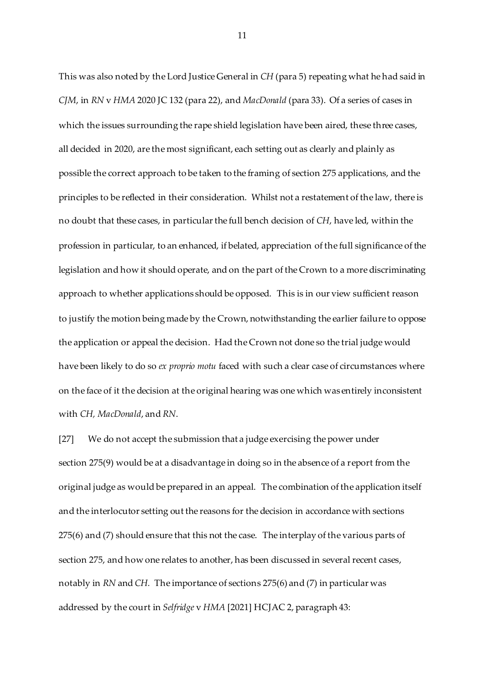This was also noted by the Lord Justice General in *CH* (para 5) repeating what he had said in *CJM*, in *RN* v *HMA* 2020 JC 132 (para 22), and *MacDonald* (para 33). Of a series of cases in which the issues surrounding the rape shield legislation have been aired, these three cases, all decided in 2020, are the most significant, each setting out as clearly and plainly as possible the correct approach to be taken to the framing of section 275 applications, and the principles to be reflected in their consideration. Whilst not a restatement of the law, there is no doubt that these cases, in particular the full bench decision of *CH*, have led, within the profession in particular, to an enhanced, if belated, appreciation of the full significance of the legislation and how it should operate, and on the part of the Crown to a more discriminating approach to whether applications should be opposed. This is in our view sufficient reason to justify the motion being made by the Crown, notwithstanding the earlier failure to oppose the application or appeal the decision. Had the Crown not done so the trial judge would have been likely to do so *ex proprio motu* faced with such a clear case of circumstances where on the face of it the decision at the original hearing was one which was entirely inconsistent with *CH, MacDonald*, and *RN*.

[27] We do not accept the submission that a judge exercising the power under section 275(9) would be at a disadvantage in doing so in the absence of a report from the original judge as would be prepared in an appeal. The combination of the application itself and the interlocutor setting out the reasons for the decision in accordance with sections 275(6) and (7) should ensure that this not the case. The interplay of the various parts of section 275, and how one relates to another, has been discussed in several recent cases, notably in *RN* and *CH.* The importance of sections 275(6) and (7) in particular was addressed by the court in *Selfridge* v *HMA* [2021] HCJAC 2, paragraph 43: